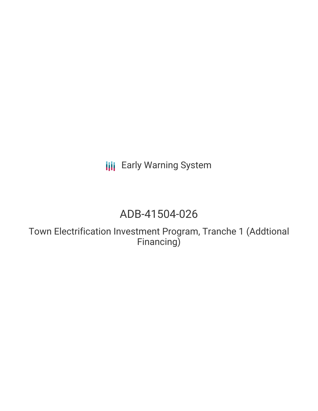**III** Early Warning System

# ADB-41504-026

Town Electrification Investment Program, Tranche 1 (Addtional Financing)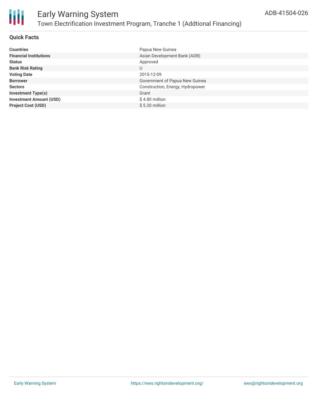

### Early Warning System Town Electrification Investment Program, Tranche 1 (Addtional Financing)

### **Quick Facts**

| <b>Countries</b>               | Papua New Guinea                 |
|--------------------------------|----------------------------------|
| <b>Financial Institutions</b>  | Asian Development Bank (ADB)     |
| <b>Status</b>                  | Approved                         |
| <b>Bank Risk Rating</b>        | U                                |
| <b>Voting Date</b>             | 2015-12-09                       |
| <b>Borrower</b>                | Government of Papua New Guinea   |
| <b>Sectors</b>                 | Construction, Energy, Hydropower |
| <b>Investment Type(s)</b>      | Grant                            |
| <b>Investment Amount (USD)</b> | $$4.80$ million                  |
| <b>Project Cost (USD)</b>      | $$5.20$ million                  |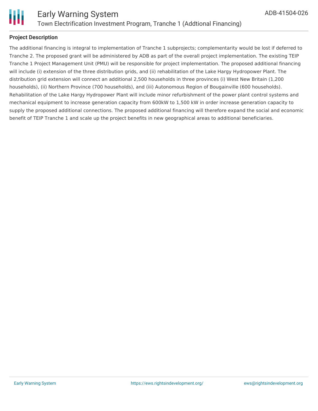



### **Project Description**

The additional financing is integral to implementation of Tranche 1 subprojects; complementarity would be lost if deferred to Tranche 2. The proposed grant will be administered by ADB as part of the overall project implementation. The existing TEIP Tranche 1 Project Management Unit (PMU) will be responsible for project implementation. The proposed additional financing will include (i) extension of the three distribution grids, and (ii) rehabilitation of the Lake Hargy Hydropower Plant. The distribution grid extension will connect an additional 2,500 households in three provinces (i) West New Britain (1,200 households), (ii) Northern Province (700 households), and (iii) Autonomous Region of Bougainville (600 households). Rehabilitation of the Lake Hargy Hydropower Plant will include minor refurbishment of the power plant control systems and mechanical equipment to increase generation capacity from 600kW to 1,500 kW in order increase generation capacity to supply the proposed additional connections. The proposed additional financing will therefore expand the social and economic benefit of TEIP Tranche 1 and scale up the project benefits in new geographical areas to additional beneficiaries.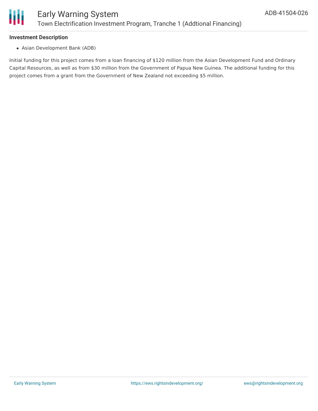

### **Investment Description**

Asian Development Bank (ADB)

Initial funding for this project comes from a loan financing of \$120 million from the Asian Development Fund and Ordinary Capital Resources, as well as from \$30 million from the Government of Papua New Guinea. The additional funding for this project comes from a grant from the Government of New Zealand not exceeding \$5 million.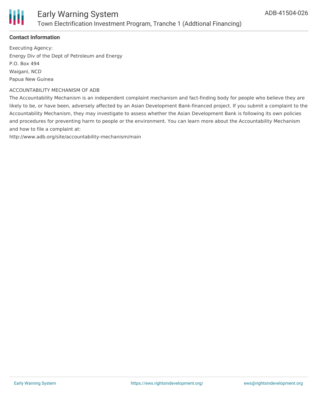

### Early Warning System Town Electrification Investment Program, Tranche 1 (Addtional Financing)

### **Contact Information**

Executing Agency: Energy Div of the Dept of Petroleum and Energy P.O. Box 494 Waigani, NCD Papua New Guinea

### ACCOUNTABILITY MECHANISM OF ADB

The Accountability Mechanism is an independent complaint mechanism and fact-finding body for people who believe they are likely to be, or have been, adversely affected by an Asian Development Bank-financed project. If you submit a complaint to the Accountability Mechanism, they may investigate to assess whether the Asian Development Bank is following its own policies and procedures for preventing harm to people or the environment. You can learn more about the Accountability Mechanism and how to file a complaint at:

http://www.adb.org/site/accountability-mechanism/main